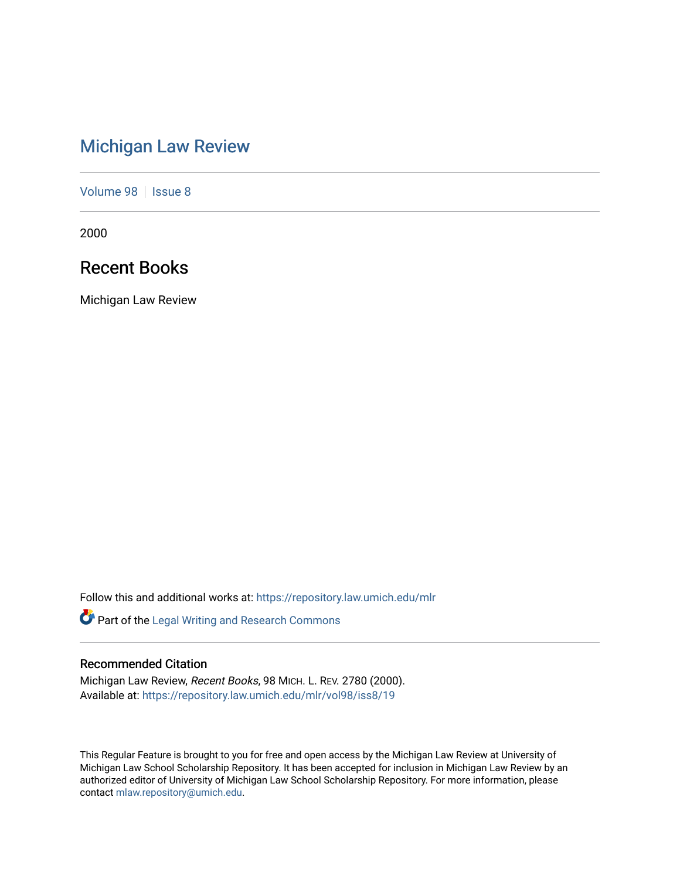# [Michigan Law Review](https://repository.law.umich.edu/mlr)

[Volume 98](https://repository.law.umich.edu/mlr/vol98) | [Issue 8](https://repository.law.umich.edu/mlr/vol98/iss8)

2000

## Recent Books

Michigan Law Review

Follow this and additional works at: [https://repository.law.umich.edu/mlr](https://repository.law.umich.edu/mlr?utm_source=repository.law.umich.edu%2Fmlr%2Fvol98%2Fiss8%2F19&utm_medium=PDF&utm_campaign=PDFCoverPages) 

Part of the [Legal Writing and Research Commons](http://network.bepress.com/hgg/discipline/614?utm_source=repository.law.umich.edu%2Fmlr%2Fvol98%2Fiss8%2F19&utm_medium=PDF&utm_campaign=PDFCoverPages) 

### Recommended Citation

Michigan Law Review, Recent Books, 98 MICH. L. REV. 2780 (2000). Available at: [https://repository.law.umich.edu/mlr/vol98/iss8/19](https://repository.law.umich.edu/mlr/vol98/iss8/19?utm_source=repository.law.umich.edu%2Fmlr%2Fvol98%2Fiss8%2F19&utm_medium=PDF&utm_campaign=PDFCoverPages) 

This Regular Feature is brought to you for free and open access by the Michigan Law Review at University of Michigan Law School Scholarship Repository. It has been accepted for inclusion in Michigan Law Review by an authorized editor of University of Michigan Law School Scholarship Repository. For more information, please contact [mlaw.repository@umich.edu](mailto:mlaw.repository@umich.edu).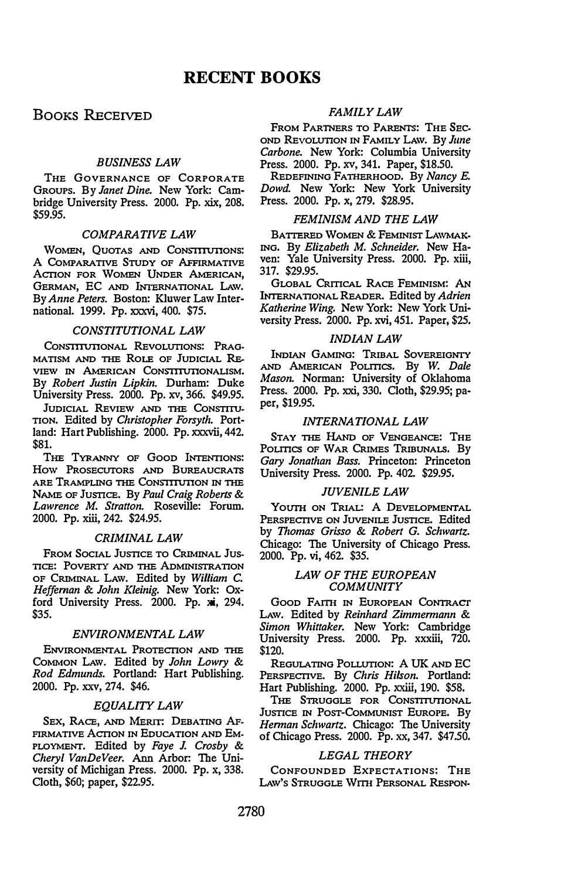### BOOKS RECEIVED

#### BUSINESS LAW

THE GOVERNANCE OF CORPORATE GROUPS. By Janet Dine. New York: Cambridge University Press. 2000. Pp. xix, 208. \$59.95.

#### COMPARATIVE LAW

WOMEN, QUOTAS AND CONSTITUTIONS: A COMPARATIVE STUDY OF AFFIRMATIVE ACTION FOR WOMEN UNDER AMERICAN, GERMAN, EC AND INTERNATIONAL LAW. By Anne Peters. Boston: Kluwer Law International. 1999. Pp. xxxvi, 400. \$75.

#### CONSTITUTIONAL LAW

CONSTITUTIONAL REVOLUTIONS: PRAG-MATISM AND THE ROLE OF JUDICIAL RE VIEW IN AMERICAN CONSTITUTIONALISM. By Robert Justin Lipkin. Durham: Duke University Press. 2000. Pp. xv, 366. \$49.95.

JUDICIAL REVIEW AND THE CONSTITU-TION. Edited by Christopher Forsyth. Portland: Hart Publishing. 2000. Pp. xxxvii, 442. \$81.

THE TYRANNY OF GOOD INTENTIONS: How PROSECUTORS AND BUREAUCRATS ARE TRAMPLING THE CONSTITUTION IN THE NAME OF JUSTICE. By Paul Craig Roberts & Lawrence M. Stratton. Roseville: Forum. 2000. Pp. xiii, 242. \$24.95.

#### CRIMINAL LAW

FROM SoCIAL JUSTICE TO CRIMINAL Jus-TICE: POVERTY AND THE ADMINISTRATION OF CRIMINAL LAw. Edited by William C. Heffernan & John Kleinig. New York: Oxford University Press. 2000. Pp. xi, 294. \$35.

#### ENVIRONMENTAL LAW

ENVIRONMENTAL PROTECTION AND THE COMMON LAW. Edited by John Lowry & Rod Edmunds. Portland: Hart Publishing. 2000. Pp. xxv, 274. \$46.

#### EQUALITY LAW

SEX, RACE, AND MERIT: DEBATING AF-FIRMATIVE ACTION IN EDUCATION AND EM-PLOYMENT. Edited by Faye J. Crosby & Cheryl VanDeVeer. Ann Arbor: The University of Michigan Press. 2000. Pp. x, 338. Cloth, \$60; paper, \$22.95.

#### FAMILY LAW

FROM PARTNERS TO PARENTS: THE SEC-OND REvoLUTION IN FAMILY LAW. By June Carbone. New York: Columbia University Press. 2000. Pp. xv, 341. Paper, \$18.50.

REDEFINING FATHERHOOD. By Nancy E. Dowd. New York: New York University Press. 2000. Pp. x, 279. \$28.95.

#### FEMINISM AND THE LAW

BATTERED WOMEN & FEMINIST LAWMAK-ING. By Elizabeth M. Schneider. New Haven: Yale University Press. 2000. Pp. xiii, 317. \$29.95.

GLOBAL CRITICAL RACE FEMINISM: AN INTERNATIONAL READER. Edited by Adrien Katherine Wing. New York: New York University Press. 2000. Pp. xvi, 451. Paper, \$25.

#### INDIAN LAW

INDIAN GAMING: TRIBAL SOVEREIGNTY AND AMERICAN POLITICS. By W. Dale Mason. Norman: University of Oklahoma Press. 2000. Pp. xxi, 330. Cloth, \$29.95; paper, \$19.95.

#### INTERNATIONAL LAW

STAY THE HAND OF VENGEANCE: THE POLITICS OF WAR CRIMES TRIBUNALS. By Gary Jonathan Bass. Princeton: Princeton University Press. 2000. Pp. 402. \$29.95.

#### JUVENILE LAW

YOUTH ON TRIAL: A DEVELOPMENTAL PERSPECTIVE ON JUVENILE JUSTICE. Edited by Thomas Grisso & Robert G. Schwartz. Chicago: The University of Chicago Press. 2000. Pp. vi, 462. \$35.

#### LAW OF THE EUROPEAN **COMMUNITY**

GooD FAITH IN EUROPEAN CONTRACT LAW. Edited by Reinhard Zimmermann & Simon Whittaker. New York: Cambridge University Press. 2000. Pp. xxxiii, 720. \$120.

REGULATING POLLUTION: A UK AND EC PERSPECTIVE. By Chris Hilson. Portland: Hart Publishing. 2000. Pp. xxiii, 190. \$58.

THE STRUGGLE FOR CONSTITUTIONAL JUSTICE IN POST-COMMUNIST EUROPE. By Herman Schwartz. Chicago: The University of Chicago Press. 2000. Pp. xx, 347. \$47.50.

#### LEGAL THEORY

CONFOUNDED EXPECTATIONS: THE LAW'S STRUGGLE WITH PERSONAL RESPON-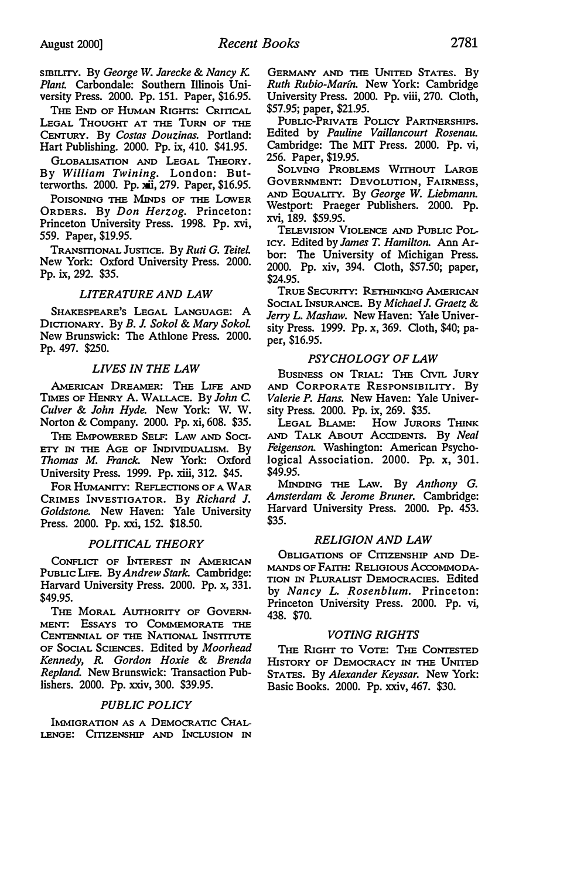SIBILITY. By George W. Jarecke & Nancy K. Plant. Carbondale: Southern Illinois University Press. 2000. Pp. 151. Paper, \$16.95.

THE END OF HUMAN RIGHTS: CRITICAL LEGAL THOUGHT AT THE TURN OF THE CENTURY. By Costas Douzinas. Portland: Hart Publishing. 2000. Pp. ix, 410. \$41.95.

GLOBALISATION AND LEGAL THEORY. By William Twining. London: Butterworths. 2000. Pp. xii, 279. Paper, \$16.95.

POISONING THE MINDS OF THE LOWER ORDERS. By Don Herzog. Princeton: Princeton University Press. 1998. Pp. xvi, 559. Paper, \$19.95.

TRANSITIONAL JUSTICE. By Ruti G. Teitel. New York: Oxford University Press. 2000. Pp. ix, 292. \$35.

#### LITERATURE AND LAW

SHAKESPEARE'S LEGAL LANGUAGE: A DICTIONARY. By B. J. Sokol & Mary Sokol New Brunswick: The Athlone Press. 2000. Pp. 497. \$250.

#### LIVES IN THE LAW

AMERICAN DREAMER: THE LIFE AND TIMES OF HENRY A. WALLACE. By John C. Culver & John Hyde. New York: W. W. Norton & Company. 2000. Pp. xi, 608. \$35.

THE EMPOWERED SELF: LAW AND SOCI-ETY IN THE AGE OF INDIVIDUALISM. By Thomas M. Franck. New York: Oxford University Press. 1999. Pp. xiii, 312. \$45.

FoR HUMANITY: REFLECTIONS OF A WAR CRIMES INVESTIGATOR. By Richard J. Goldstone. New Haven: Yale University Press. 2000. Pp. xxi, 152. \$18.50.

#### POLITICAL THEORY

CONFLICT OF INTEREST IN AMERICAN PUBLIC LIFE. By Andrew Stark. Cambridge: Harvard University Press. 2000. Pp. x, 331. \$49.95.

THE MORAL AUTHORITY OF GOVERN-MENT: EsSAYS TO COMMEMORATE THE CENTENNIAL OF THE NATIONAL INSTITUTE OF SOCIAL SCIENCES. Edited by Moorhead Kennedy, R. Gordon Hoxie & Brenda Repland. New Brunswick: Transaction Publishers. 2000. Pp. xxiv, 300. \$39.95.

#### PUBLIC POLICY

IMMIGRATION AS A DEMOCRATIC CHAL-LENGE: CITIZENSHIP AND INCLUSION IN GERMANY AND THE UNITED STATES. By Ruth Rubio-Marin. New York: Cambridge University Press. 2000. Pp. viii, 270. Cloth, \$57.95; paper, \$21.95.

PUBLIC-PRIVATE POLICY PARTNERSHIPS. Edited by Pauline Vaillancourt Rosenau. Cambridge: The MIT Press. 2000. Pp. vi, 256. Paper, \$19.95.

SOLVING PROBLEMS WITHOUT LARGE GOVERNMENT: DEVOLUTION, FAIRNESS, AND EQUALITY. By George W. Liebmann. Westport: Praeger Publishers. 2000. Pp. xvi, 189. \$59.95.

TELEVISION VIOLENCE AND PUBLIC POL-ICY. Edited by James T. Hamilton. Ann Arbor: The University of Michigan Press. 2000. Pp. xiv, 394. Cloth, \$57.50; paper, \$24.95.

TRUE SECURITY: RETHINKING AMERICAN SocIAL INsuRANCE. By Michael J. Graetz & Jerry L. Mashaw. New Haven: Yale University Press. 1999. Pp. x, 369. Cloth, \$40; paper, \$16.95.

#### PSYCHOLOGY OF LAW

BUSINESS ON TRIAL: THE CIVIL JURY AND CORPORATE RESPONSIBILITY. By Valerie P. Hans. New Haven: Yale University Press. 2000. Pp. ix, 269. \$35.

LEGAL BLAME: How JURORS THINK AND TALK ABOUT ACCIDENTS. By Neal Feigenson. Washington: American Psychological Association. 2000. Pp. x, 301. \$49.95.

MINDING THE LAW. By Anthony G. Amsterdam & Jerome Bruner. Cambridge: Harvard University Press. 2000. Pp. 453. \$35.

#### RELIGION AND LAW

OBLIGATIONS OF CITIZENSHIP AND DE-MANDS OF FAITH: RELIGIOUS ACCOMMODA-TION IN PLURALIST DEMOCRACIES. Edited by Nancy L. Rosenblum. Princeton: Princeton University Press. 2000. Pp. vi, 438. \$70.

#### VOTING RIGHTS

THE RIGHT TO VOTE: THE CONTESTED HISTORY OF DEMOCRACY IN THE UNITED STATES. By Alexander Keyssar. New York: Basic Books. 2000. Pp. xxiv, 467. \$30.